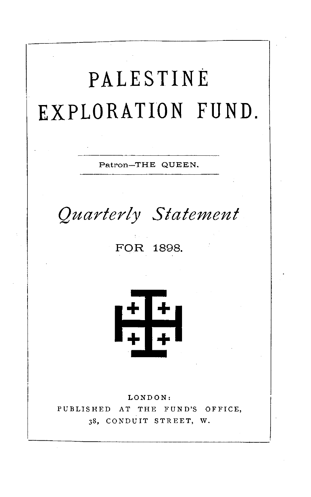# **PALESTINE EXPLORATION FUND.**

Patron-THE QUEEN.

*Quarterly Statement* 

FOR 1898.



LONDON: PUBLISHED AT THE FUND'S OFFICE, 38, CONDUIT STREET, W.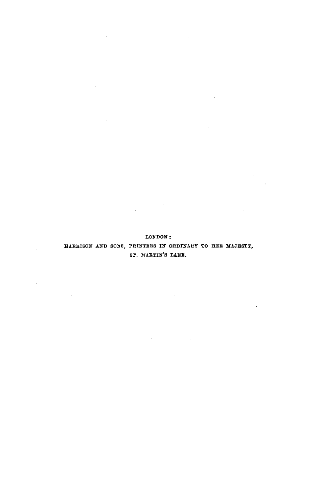#### LONDON:

 $\sim 10^{-10}$ 

 $\mathcal{L}_{\mathcal{A}}$ 

 $\sim 10^{-1}$ 

#### HARRISON AND SONS, PRINTERS IN ORDINARY TO HER MAJESTY, ST. MARTIN'S LANE.

and the company of the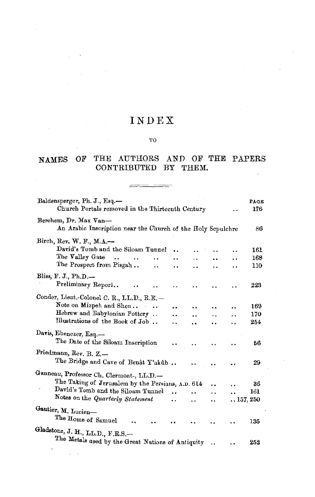## INDEX

#### TO

#### NAMES OF THE AUTHORS AND OF THE PAPERS CONTRIBUTED BY THEM.  $\sim$

 $\overline{\phantom{a}}$ 

| Baldensperger, Ph. J., Esq.-<br>Church Portals removed in the Thirteenth Century     |                      |     |         |            | PAGE<br>176 |
|--------------------------------------------------------------------------------------|----------------------|-----|---------|------------|-------------|
| Berchem, Dr. Max Van-<br>An Arabic Inscription near the Church of the Holy Sepulchre |                      |     |         |            | 86          |
| Birch, Rev. W. F., M.A.-                                                             |                      |     |         |            |             |
| David's Tomb and the Siloam Tunnel                                                   | $\ddot{\phantom{a}}$ | . . |         |            | 161         |
| The Valley Gate<br>$\cdot$ $\cdot$<br>$\cdot$ .                                      |                      |     |         | . .        | 168         |
| The Prospect from Pisgah<br>. .                                                      |                      |     | . .     | . .        | 110         |
| Bliss, F. J., Ph.D. $-$                                                              |                      |     |         |            |             |
| Preliminary Report<br>                                                               | . .                  | . . | . .     |            | 223         |
| Conder, Lieut.-Colonel C. R., LL.D., R.E.-                                           |                      |     |         |            |             |
| Note on Mizpeh and Shen<br>$\sim$ $\sim$                                             |                      |     |         |            | 169         |
| Hebrew and Babylonian Pottery                                                        | <br>                 | . . | <br>. . |            | 170         |
| Illustrations of the Book of Job                                                     | . .                  |     | . .     |            | 254         |
|                                                                                      |                      |     |         |            |             |
| Davis, Ebenezer, Esq.-<br>The Date of the Siloam Inscription                         |                      |     |         |            | 56          |
| Friedmann, Rev. B. Z.-                                                               |                      |     |         |            |             |
| The Bridge and Cave of Benât Y'akûb                                                  |                      |     |         |            | 29          |
| Ganneau, Professor Ch. Clermont-, LL.D.-                                             |                      |     |         |            |             |
| The Taking of Jerusalem by the Persians, A.D. 614                                    |                      |     | ٠.      |            | 36          |
| David's Tomb and the Siloam Tunnel                                                   | $\ddot{\phantom{a}}$ |     | . .     |            | 161         |
| Notes on the Quarterly Statement                                                     | $\ddot{\phantom{a}}$ | . . | . .     | . 157, 250 |             |
|                                                                                      |                      |     |         |            |             |
| Gautier, M. Lucien-<br>The Home of Samuel                                            |                      |     |         |            | 135         |
| Gladstone, J. H., LL.D., F.R.S.-                                                     |                      |     |         |            |             |
| The Metals used by the Great Nations of Antiquity                                    |                      |     |         |            |             |
|                                                                                      |                      |     | ٠,      |            | 252         |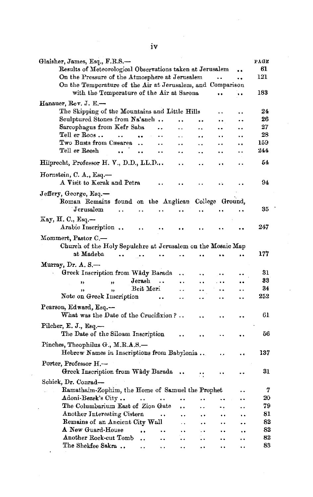| Glaisher, James, Esq., F.R.S.—                                        |                      |                      |                      |                      | PAGE               |
|-----------------------------------------------------------------------|----------------------|----------------------|----------------------|----------------------|--------------------|
| Results of Meteorological Observations taken at Jerusalem             |                      |                      |                      |                      | 61                 |
| On the Pressure of the Atmosphere at Jerusalem                        |                      |                      |                      | ٠.                   | 121                |
| On the Temperature of the Air at Jerusalem, and Comparison            |                      |                      |                      |                      |                    |
| with the Temperature of the Air at Sarona                             |                      |                      |                      |                      | 183                |
| Hanauer, Rev. J. E.-                                                  |                      |                      |                      |                      |                    |
| The Skipping of the Mountains and Little Hills                        |                      |                      | . .                  |                      | 24                 |
| Sculptured Stones from Na'aneh                                        |                      | ٠.                   |                      |                      | 26                 |
| Sarcophagus from Kefr Saba                                            | Ω.                   | . .                  |                      | . .                  | 27                 |
| Tell er Roos<br>$\ddot{\phantom{a}}$<br>٠.<br>$\ddot{\phantom{0}}$    | $\ddot{\phantom{a}}$ | $\ddot{\phantom{a}}$ | . .                  | . .                  | 28                 |
| Two Busts from Cæsarea<br>$\ddot{\phantom{a}}$                        |                      |                      | . .                  | . .                  | 159                |
| Tell er Reesh<br><br>                                                 |                      |                      |                      | . .                  | 244                |
| Hilprecht, Professor H. V., D.D., LL.D.,.                             | $\ddot{\phantom{a}}$ | $\ddot{\phantom{0}}$ | .,                   | . .                  | 54                 |
| Hornstein, C. A., Esq.-                                               |                      |                      |                      |                      |                    |
| A Visit to Kerak and Petra                                            |                      |                      |                      |                      | 94                 |
|                                                                       |                      |                      |                      |                      |                    |
| Jeffery, George, Esq.—                                                |                      |                      |                      |                      |                    |
| Roman Remains found on the Anglican College Ground,<br>Jerusalem      |                      |                      |                      |                      | 35                 |
| $\ddot{\phantom{a}}$<br>$\ddot{\phantom{0}}$<br>$\ddot{\phantom{1}}$  | $\ddot{\phantom{a}}$ | $\ddot{\phantom{a}}$ |                      |                      |                    |
| Кау, Н. С., Еsq.—<br>Arabic Inscription<br>$\ddot{\phantom{a}}$       |                      |                      |                      |                      | 247                |
| Mommert, Pastor C.-                                                   |                      |                      |                      |                      |                    |
| Church of the Holy Sepulchre at Jerusalem on the Mosaic Map           |                      |                      |                      |                      |                    |
| at Madeba                                                             |                      |                      |                      |                      | 177                |
|                                                                       |                      |                      |                      |                      |                    |
| Murray, Dr. A. S.—                                                    |                      |                      |                      |                      | 31                 |
| Greek Inscription from Wâdy Barada                                    | .,                   | $\ddot{\phantom{0}}$ | ٠.                   | $\ddot{\phantom{0}}$ | 33                 |
| Jerash<br>$\ddotsc$<br>'n.<br>,,                                      | $\ddot{\phantom{a}}$ | ٠٠                   | $\ddot{\phantom{a}}$ | ٠.                   | 34                 |
| Beit Meri<br>,,<br>,,<br>Note on Greek Inscription                    | $\ddot{\phantom{1}}$ | ٠.                   | ٠.                   | ۰.                   | $\boldsymbol{252}$ |
|                                                                       | $\ddot{\phantom{1}}$ | $\ddot{\phantom{a}}$ |                      | ٠.                   |                    |
| Pearson, Edward, Esq.-                                                |                      |                      |                      |                      |                    |
| What was the Date of the Crucifixion?                                 |                      |                      |                      |                      | 61                 |
| Pilcher, E. J., Esq.-                                                 |                      |                      |                      |                      |                    |
| The Date of the Siloam Inscription                                    |                      |                      |                      |                      | 56                 |
| Pinches, Theophilus G., M.R.A.S.-                                     |                      |                      |                      |                      |                    |
| Hebrew Names in Inscriptions from Babylonia                           |                      |                      |                      | . .                  | 137                |
|                                                                       |                      |                      |                      |                      |                    |
| Porter, Professor H.-                                                 |                      |                      |                      |                      |                    |
| Greek Inscription from Wâdy Barada                                    |                      | Ξ.                   |                      |                      | 31                 |
| Schick, Dr. Conrad-                                                   |                      |                      |                      |                      |                    |
| Ramathaim-Zophim, the Home of Samuel the Prophet                      |                      |                      |                      | . .                  | 7                  |
| Adoni-Bezek's City<br>$\ddot{\phantom{a}}$                            | ٠.                   |                      |                      | . .                  | 20                 |
| The Columbarium East of Zion Gate                                     | $\ddot{\phantom{0}}$ |                      | ٠.                   |                      | 79                 |
| Another Interesting Cistern<br>$\ddot{\phantom{0}}$                   |                      | $\ddot{\phantom{a}}$ | $\ddot{\phantom{0}}$ | ٠.                   | 81                 |
| Remains of an Ancient City Wall                                       | $\ddot{\phantom{a}}$ | $\ddot{\phantom{a}}$ |                      |                      | 82                 |
| A New Guard-House<br>$\ddot{\phantom{a}}$                             | $\ddot{\phantom{1}}$ | . .                  | $\ddot{\phantom{0}}$ | $\ddot{\phantom{a}}$ | 82                 |
| Another Rock-cut Tomb<br>$\ddot{\phantom{a}}$<br>$\ddot{\phantom{a}}$ | $\ddot{\phantom{0}}$ | $\ddot{\phantom{0}}$ | $\ddot{\phantom{0}}$ | $\cdot$ $\cdot$      | 82                 |
| The Shekfee Sakra<br>$\bullet$ .<br>$\ddot{\phantom{1}}$              | . .                  | . .                  | . .                  | $\ddot{\phantom{1}}$ | 83                 |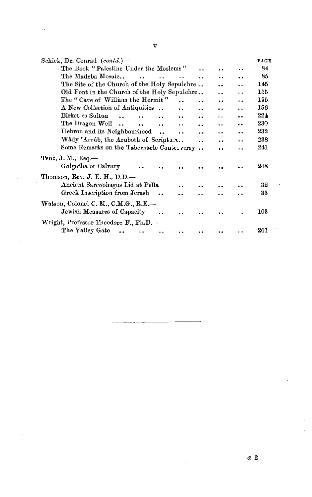| Schick, Dr. Conrad $(contd.)$ —                                                                                  |                      |                      |                      | PAGE |
|------------------------------------------------------------------------------------------------------------------|----------------------|----------------------|----------------------|------|
| The Book "Palestine Under the Moslems"                                                                           |                      |                      |                      | 84   |
| The Madeba Mosaic<br><b>Contract Contract</b><br>$\ddot{\phantom{a}}$                                            | . .                  | $\ddot{\phantom{0}}$ |                      | 85   |
| The Site of the Church of the Holy Sepulchre                                                                     |                      |                      |                      | 145  |
| Old Font in the Church of the Holy Sepulchre                                                                     |                      |                      | . .                  | 155  |
| The "Cave of William the Hermit"                                                                                 |                      | $\ddot{\phantom{0}}$ | . .                  | 155  |
| A New Collection of Antiquities<br>$\ddot{\phantom{a}}$                                                          | . .                  |                      | . .                  | 156  |
| Birket es Sultan<br>$\ddot{\phantom{a}}$<br>$\ddot{\phantom{a}}$<br>$\ddot{\phantom{a}}$<br>$\ddot{\phantom{a}}$ | $\ddot{\bullet}$     | $\ddot{\phantom{0}}$ | $\ddot{\phantom{0}}$ | 224  |
| The Dragon Well<br>$\ddot{\phantom{a}}$                                                                          | $\ddot{\phantom{a}}$ |                      | . .                  | 230  |
| Hebron and its Neighbourhood.<br>                                                                                |                      | $\ddot{\phantom{a}}$ |                      | 232  |
| Wâdy 'Arrûb, the Aruboth of Scripture                                                                            | . .                  | $\ddot{\phantom{a}}$ | . .                  | 238  |
| Some Remarks on the Tabernacle Controversy                                                                       | $\ddot{\phantom{0}}$ | . .                  | . .                  | 241  |
| Tenz, J. M., Esq.-                                                                                               |                      |                      |                      |      |
| Golgotha or Calvary                                                                                              |                      |                      |                      | 248  |
| Thomson, Rev. J. E. H., $D.D.$ —                                                                                 |                      |                      |                      |      |
| Ancient Sarcophagus Lid at Pella<br>$\ddot{\phantom{a}}$                                                         |                      |                      |                      | 32   |
| Greek Inscription from Jerash                                                                                    |                      |                      |                      | 33   |
|                                                                                                                  |                      |                      |                      |      |
| Watson, Colonel C. M., C.M.G., R.E.-<br>Jewish Measures of Capacity                                              |                      |                      |                      | 103  |
| Wright, Professor Theodore F., Ph.D.-                                                                            |                      |                      |                      |      |
| The Valley Gate<br>$\sim$                                                                                        |                      |                      |                      | 261  |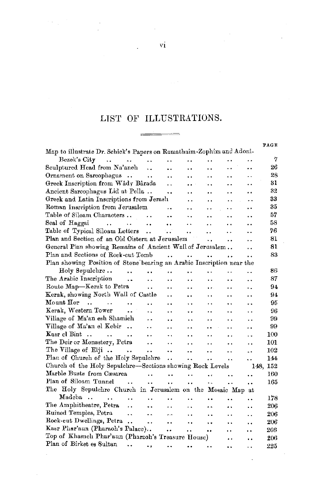## LIST OF ILLUSTRATIONS.

|                                                                          |                      |                      |                      |                      |                      | PAGE     |
|--------------------------------------------------------------------------|----------------------|----------------------|----------------------|----------------------|----------------------|----------|
| Map to illustrate Dr. Schick's Papers on Ramathaim-Zophim and Adoni-     |                      |                      |                      |                      |                      |          |
| Bezek's City<br>$\sim$<br>$\ddot{\phantom{0}}$<br>$\sim$ $\sim$ $\sim$   | . .                  | ٠.                   | . .                  | ۰.                   | . .                  | 7        |
| Sculptured Head from Na'aneh<br>                                         | $\ddot{\phantom{0}}$ | . .                  | ٠.                   | $\ddot{\phantom{0}}$ |                      | 26       |
| Ornament on Sarcophagus<br>$\ddot{\phantom{0}}$                          | $\cdot$ .            |                      | . .                  | . .                  | . .                  | 28       |
| Greek Inscription from Wâdy Bârada                                       | $\ddot{\phantom{0}}$ |                      | . .                  | . .                  | . .                  | 31       |
| Ancient Sarcophagus Lid at Pella                                         |                      | . .                  | . .                  | . .                  | . .                  | 32       |
| Greek and Latin Inscriptions from Jerash                                 |                      | . .                  | . .                  | . .                  | ٠.                   | 33       |
| Roman Inscription from Jerusalem                                         |                      |                      | . .                  | . .                  |                      | 35       |
| Table of Siloam Characters<br>$\cdot$                                    | $\ddot{\phantom{0}}$ | $\cdot$ .            | . .                  | . .                  |                      | 57       |
| Seal of Haggai<br><b>Contract Contract</b><br>$\ddot{\phantom{0}}$<br>   |                      | . .                  | . .                  | . .                  |                      | 58       |
| Table of Typical Siloam Letters<br>$\ddot{\phantom{a}}$                  | W                    |                      | . .                  | . .                  | . .                  | 76       |
| Plan and Section of an Old Cistern at Jerusalem                          |                      |                      | $\ddot{\phantom{0}}$ |                      | . .                  | 81       |
| General Plan showing Remains of Ancient Wall of Jerusalem                |                      |                      |                      |                      | . .                  | 81       |
| Plan and Sections of Rock-cut Tomb                                       | $\ddot{\phantom{a}}$ | $\ddot{\phantom{a}}$ |                      |                      | . .                  | 83       |
| Plan showing Position of Stone bearing an Arabic Inscription near the    |                      |                      |                      |                      |                      |          |
| Holy Sepulchre<br>$\cdots$<br>                                           |                      | . .                  | . .                  | . .                  | . .                  | 86       |
| The Arabic Inscription<br>$\ddot{\phantom{0}}$<br>. .                    | $\cdot$ .            | . .                  |                      | . .                  | . .                  | 87       |
| Route Map-Kerak to Petra<br>. .                                          | . .                  | . .                  | $\bullet$ .          | . .                  | . .                  | 94       |
| Kerak, showing North Wall of Castle                                      | $\ddot{\phantom{0}}$ |                      | . .                  | $\ddot{\phantom{0}}$ | . .                  | 94       |
| $\rm{M}$ ount $\rm{H}$ or<br>$\cdots$<br>$\ddot{\phantom{a}}$<br><br>. . | . .                  |                      | . .                  | $\ddot{\phantom{1}}$ |                      | 95       |
| Kerak, Western Tower<br>$\ddot{\phantom{a}}$<br>٠.                       | $\cdot$ $\cdot$      |                      | . .                  | . .                  | . .                  | 96       |
| Village of Ma'an esh Shamieh<br>. .                                      | ٠.                   | $\ddot{\phantom{1}}$ |                      | $\cdot$              | . .                  | 99       |
| Village of Ma'an el Kebir.<br>. .                                        | . .                  | $\ddot{\phantom{0}}$ | . .                  | ٠.                   | . .                  | 99       |
| Kasr el Bint<br>$\ddot{\phantom{a}}$<br>. .                              | $\ddot{\phantom{0}}$ |                      | . .                  | . .                  |                      | 100      |
| The Deir or Monastery, Petra<br>                                         |                      | $\cdot$ $\cdot$      | . .                  |                      | ٠.                   | 101      |
| The Village of Elji $\ldots$ .<br>$\ddot{\phantom{a}}$                   | $\ddot{\phantom{a}}$ | . .                  | . .                  | . .                  |                      | 102      |
| Plan of Church of the Holy Sepulchre                                     | $\ddot{\phantom{0}}$ |                      | $\ddot{\phantom{0}}$ |                      | . .                  | 144      |
| Church of the Holy Sepulchre-Sections showing Rock Levels                |                      |                      |                      |                      |                      | 148, 152 |
| Marble Busts from Cæsarea<br>$\ddot{\phantom{0}}$                        | $\ddot{\phantom{0}}$ | $\ddot{\phantom{0}}$ | $\ddot{\phantom{0}}$ | . .                  |                      | 160      |
| Plan of Siloam Tunnel<br>$\ddot{\phantom{0}}$<br>$\ddot{\phantom{0}}$    | $\ddot{\phantom{0}}$ | . .                  | . .                  | $\cdot$              | $\ddot{\phantom{0}}$ | 165      |
| The Holy Sepulchre Church in Jorusalem on the Mosaic Map at              |                      |                      |                      |                      |                      |          |
| Madeba<br>. .<br>$\ddot{\phantom{0}}$<br>$\ddot{\phantom{0}}$            | . .                  | . .                  | $\ddot{\phantom{a}}$ | . .                  | . .                  | 178      |
| The Amphitheatre, Petra<br>μ.<br>٠.                                      | $\ddot{\phantom{a}}$ | . .                  | $\ddot{\phantom{1}}$ | . .                  | $\ddot{\phantom{a}}$ | 206      |
| Ruined Temples, Petra<br>۰,<br>                                          | $\sim$ $\sim$        | $\ddot{\phantom{0}}$ | $\ddot{\phantom{0}}$ | $\cdot$ $\cdot$      | . .                  | 206      |
| Rock-cut Dwellings, Petra<br>$\ddot{\phantom{0}}$                        | $\ddot{\phantom{0}}$ | ٠.                   |                      | . .                  |                      | 206      |
| Kasr Phar'aun (Pharaoh's Palace)                                         | $\ddot{\phantom{0}}$ | $\cdot$ .            | $\ddot{\phantom{0}}$ | . .                  | <br>                 | 206      |
| Top of Khasnelı Phar'aun (Pharaoh's Treasure House)                      |                      |                      |                      | . .                  |                      | 206      |
| Plan of Birket es Sultan<br><br>٠,                                       | ٠.                   | $\cdots$             | $\cdot$              |                      |                      | 225      |
|                                                                          |                      |                      |                      |                      | . .                  |          |

 $\ddot{\phantom{a}}$ 

Vl

 $\overline{\phantom{a}}$ 

 $\frac{1}{2}$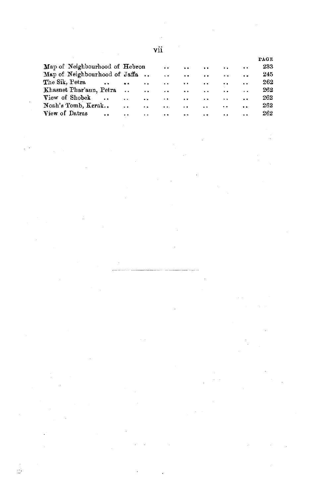|                                        |                      |                      | vu                   |                      |                      |                      |                      |      |
|----------------------------------------|----------------------|----------------------|----------------------|----------------------|----------------------|----------------------|----------------------|------|
|                                        |                      |                      |                      |                      |                      |                      |                      | PAGE |
| Map of Neighbourhood of Hebron         |                      |                      | ÷.                   | $\ddot{\phantom{a}}$ | $\ddot{\phantom{1}}$ | $\ddot{\phantom{a}}$ | $\ddot{\phantom{1}}$ | 233  |
| Map of Neighbourhood of Jaffa          |                      |                      | $\ddot{\phantom{0}}$ | $\ddot{\phantom{0}}$ | $\ddot{\phantom{a}}$ | $\ddot{\phantom{0}}$ | $\ddot{\phantom{0}}$ | 245  |
| The Sik. Petra                         | $\ddot{\phantom{0}}$ | . .                  | $\ddot{\phantom{0}}$ | $\ddot{\phantom{1}}$ | . .                  | $\ddot{\phantom{a}}$ | . .                  | 262  |
| Khasnet Phar'aun, Petra                | $\ddot{\phantom{a}}$ | . .                  | $\ddot{\phantom{0}}$ | $\ddot{\phantom{1}}$ | $\ddot{\phantom{1}}$ |                      | $\ddot{\phantom{1}}$ | 262  |
| View of Shobek                         | $\ddot{\phantom{0}}$ | $\ddot{\phantom{a}}$ | $\ddot{\phantom{0}}$ | $\ddot{\phantom{0}}$ | $\ddot{\phantom{1}}$ | $\ddot{\phantom{0}}$ | $\ddot{\phantom{0}}$ | 262  |
| Noah's Tomb, Kerak                     | $\ddot{\phantom{1}}$ | . .                  | $\ddotsc$            | $\ddot{\phantom{a}}$ | . .                  | $\ddot{\phantom{0}}$ | $\ddot{\phantom{0}}$ | 262  |
| View of Datras<br>$\ddot{\phantom{0}}$ | $\ddot{\phantom{1}}$ | $\ddot{\phantom{a}}$ | $\ddot{\phantom{0}}$ | $\ddot{\phantom{1}}$ | $\ddot{\phantom{1}}$ | $\ddot{\phantom{0}}$ | $\ddot{\phantom{1}}$ | 262  |

 $\label{eq:2.1} \frac{1}{\sqrt{2\pi}}\int_{\mathbb{R}^3} \frac{1}{\sqrt{2\pi}}\left(\frac{1}{\sqrt{2\pi}}\right)^2 \frac{1}{\sqrt{2\pi}}\int_{\mathbb{R}^3} \frac{1}{\sqrt{2\pi}}\left(\frac{1}{\sqrt{2\pi}}\right)^2 \frac{1}{\sqrt{2\pi}}\int_{\mathbb{R}^3} \frac{1}{\sqrt{2\pi}}\frac{1}{\sqrt{2\pi}}\frac{1}{\sqrt{2\pi}}\frac{1}{\sqrt{2\pi}}\frac{1}{\sqrt{2\pi}}\frac{1}{\sqrt{2\pi}}\frac{1}{\sqrt$ 

 $\mathcal{L}^{\mathcal{L}}(\mathcal{L}^{\mathcal{L}})$  and  $\mathcal{L}^{\mathcal{L}}(\mathcal{L}^{\mathcal{L}})$  and  $\mathcal{L}^{\mathcal{L}}(\mathcal{L}^{\mathcal{L}})$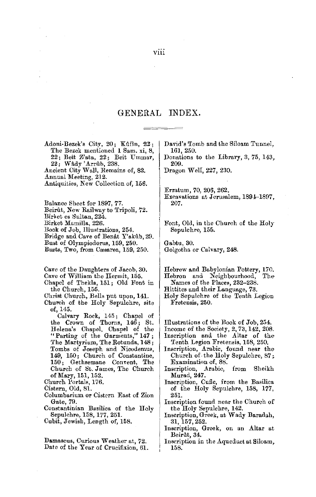### GENERAL INDEX.

.Adoni-Bezek's City, 20; Kuf\n, *22;*  The Bezek mentioned 1 Sam. xi, 8, 22; Beit Z'ata, 22; Beit Ummar, 22; Wady 'Arrub, 238.

.Ancient City Wall, Remains of, 82.

Annual Meeting, 212.

Antiquities, New Collection of, 156.

Balance Sheet for 1897, 77.

Beirût, New Railway to Tripoli, 72.

Birket es Sultan, 224.

Birket Mamilla, 226.

Book of Job, Illustrations, 254.

Bridge and Cave of Benat Y'akub, 29.

Bust of Olympiodorus, 159, 250.

Busts, Two, from Cæsarea, 159, 250.

Cave of the Daughters of Jacob, 30.

Cave of William the Hermit, 155.

Chapel of Thekla, 151; Old Font in the Church, 155.

Christ Church, Bells put upon, 141.

Church of the Holy Sepulchre, site of, 145.

Calvary Rock, 145; Chapel of the Crown of Thorns, 146; St. Helena's Chapel, Chapel of the "Parting of the Garments," 147 ; The Martyrium, The Rotunda, **148;**  Tombs of Joseph and Nicodemus, 149, 150; Church of Constantine, 150; Gethsemane Convent, The Church of St. James, The Church of Mary, 151, 152.

Church l'ortals, 176.

Cistern, Old, 81.

Columbarium or Cistrrn East of Zion Gate, 79.

Constantinian Basilica of the Holy Sepulchre, 158, 177, 251.

Cubit, Jewish, Length of, 158.

Damascus, Curious Weather at, 72. Date of the Year of Crucifixion, 61. David's Tomb and the Siloam Tunnel, 161, 250.

Donations to the Library, 3, 75, 143, 209.

Dragon Well, 227, 230.

Erratum, 70, 206, 262.

Excavations at Jerusalem, 1894-1897, 207.

Font, Old, in the Church of the Holy Sepulchre, 155.

Gabtu, 30. Golgotha or Calvary, 248,

Hebrew and Babylonian Pottery, 170. Hebron and Neighbourhood,

Names of the Places, 232-238.

Hittites and their Language, 73.

Holy Sepulchre of the Tenth Legion Fretensis, 250.

Illustrations of the Book of Job, 254.

Income of the Society, 2, 73,142, 208.

Inscription and the Altar of the-Tenth Legion Fretensis, 158, 250.

- Inscription, Arabic, found near the-Church of the Holy Sepulchre, 87; Examination of, 88.
- Inscription, Arabic, from Sheikh Murad, **247.**
- Inscription, Cufic, from the Basilica of the Holy Sepulchre, 158, 177, 251.
- Inscription found near the Church of the Holy Sepulchre, 142.
- Inscription, Greek, at Wady Baradah, 31,157,252.

Inscription, Greek, on an Altar at Beirût, 34.

Inscription in the Aqueduct at Siloam, **158.**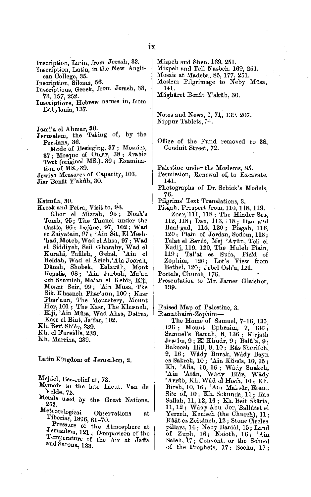Inscription, Latin, from Jerash, 33. Inscription, Latin, in the New Anglican College, 35.

Inscription, Siloam, 56.

- Inscriptions, Greek, from Jerash, 33,
- 73, 157, 252. Inscriptions, Hebrew names in, from Babylonia, 137.

Jami'a el Ahmar, 30.

- Jerusalem, the Taking of, by the Persians, 36.
	- Mode of Besieging, 37 ; Mosaics, 37; Mosque of Omar, 38; Arabic Text (original MS.), 39; Examination of MS., 39.
- Jewish Measures of Capacity, 103.

Jisr Benat Y'akûb, 30.

Katmûn, 30.

Kerak and Petra, Visit to, 94. Ghor el Mizrah, 95; Noah's Tomb, 95; The Tunnel under the Castle,  $96$ ; Lejûne,  $97$ ,  $102$ ; Wad ez Zaiyatain, 97 ; 'Ain Sit, El Mesh- 'had, Moteh, Wadel Ahsa, **97;** Wad el Siddiyeh, Seil Gharaby, Wad el<br>Kurahi, Tafileh, Gebal, 'Ain el Kurahi, Tafileh, Gebal, 'Ain el<br>Beidah, Wad el Årich,'Ain Joorah, Dânah, Shobek, Esherâh, Mont<br>Regalis, 98; 'Ain Jurbah, Ma'an<br>esh\_Shamieh,Ma'an el Kebir, Elji, Mount Seir, 99; 'Ain Musa, The Sik, Khrumeh Phar'aun, 100; Kasr Phar'aun, The Monastery, Mount Hor, 101 ; The Kasr, The Khasneh, Elji, 'Ain Mûsa, Wad Ahsa, Datras, Kasr el Bint, Ja'far, 102.

Kh. Beit Sh'ar, 239.

- Kh. el Fureidis, 239.
- Kh. Marrina, 239.

Latin Kingdom of Jerusalem, 2.

Mejdel, Bas-relief at, 73.

- Memoir to the late Lieut. Van de Velde, 72.
- Metals used by the Great Nations,
- Meteorological Observations at Tiberias, 1896, 61-70.

Pressure of the Atmosphere at Jerusalem, 121; Comparison of the Temperature of the Air at Jaffa and Sarona, 183.

Mizpeh and Shen, 169, 251.

Mizpeh and Tell Nasbeh, 169, 251. Mosaic at Madeba, 85, 177, 251. Moslem Pilgrimage to Neby Musa. 141.

Müghâret Benat Y'akûb, 30.

Notes and News, 1, **71,** 139, 207. Nippur Tablets, 54.

Office of the Fund removed to 38, Conduit Street, 72.

Palestine under the Moslems, 85.

- Permission, Renewal of, to Excavate, 141.
- Photographs of Dr. Schick's Models, *76.*

Pilgrims' Text Translations, 3.

Pisgah, Prospect from, 110, 118, 119. Zoar, 111, 118; The Hinder Sea, 112, 118; Dan, 113, 118; Dan and Baal-gad, 114, 120 ; Pisgah, 116, 120; Plain of Jordan, Sodom, 118; Talat el Benât, Mej 'Ayûn, Tell el Kadij, 119, 120, The Huleh Plain,<br>119 ; Tal'at es Sufa, Field of Zophim, 120; Lot's View from Bethel, 120; Jebel Osh'a, 121.

Presentation to Mr. James Glaisher, 139.

Raised Map of Palestine, 3.

Ramathaim-Zophim-

The Home of Samuel, 7-16, 135, .136 ; Mount Ephraim, 7, 136 ; Samuel's Ramah, 8, 136; Kirjath Jearim, 9; El Khudr, 9; Balû'a, 9;<br>Bakoosh Hill, 9, 10; Râs Sherifeh, 9, 16; Wady Burak, Wady Bayn es Sakrah, 10; 'Ain K11ssls, 10, 15 ; Kh. 'Alia, 10, 16 ; Wady Suakeh, 'Ain 'Atan, Wady Btar, Wady 'Arrtlb, Kh. Wad cl Hoch, 10; Kh. Bireh, 10, 16; 'Aiu Maksilr, Etam, Site of, 10; Kh. Sekunda, 11; Ras Sallah, 11, 12, 16 ; Kh. Heit Skaria, 11, 12; Wâdy Abu Jor, Ballûtet el<br>Yerzeh, Keniseh (the Church), 11; Kâât ez Zeitûneh, 12; Stone Circles. pillars, 14 ; Neby Danial, 15 ; Land<br>of Zuph, 16 ; Naioth, 16 ; 'Ain Saleh, 17; Convent, or the School of the Prophets, 17; Sechu, 17;

Portals, Church, 176.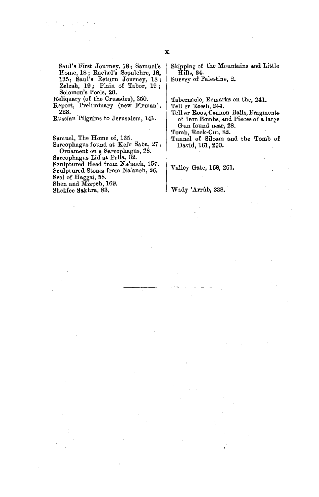Saul's First Journey, 18; Samuel's Home, 18; Rachel's Sepulchre, 18, 135; Saul's Return Journey, 18; Zelzah, 19; Plain of Tabor, 19; Solomon's Pools, 20.

Reliquary (of the Crusades), 250.

Report, Preliminary (new Firman), 223.

Russian Pilgrims to Jerusalem, 141.

Samuel, The Home of, 135.<br>Sarcophagus found at Kefr Saba, 27 ; Ornament on a Sarcophagus, 28.

Sarcophagus Lid at. Pella, 32. Sculptured Head from Na'aneh, 157. Sculptured Stones from Na'aneh, 26. Seal of Haggai, 58.

Shen and Mizpeh, 169.

Shekfee Sakhra, 83.

Skipping of the Mountains and Little Hills, 24.

Survey of Palestine, 2.

'l'abernacle, Remarks on the, 241.

Tell er Reesh, 244.

Tell er Roos, Cannon Balls, Fragments of Iron Bombs, and Pieces of a large Gun found near, 28.

Tomb, Rock-Cut, 82.

Tunnel of Siloam and the Tomb of David, 161,250.

Valley Gate, 168, 261.

Wady 'Arrûb, 238.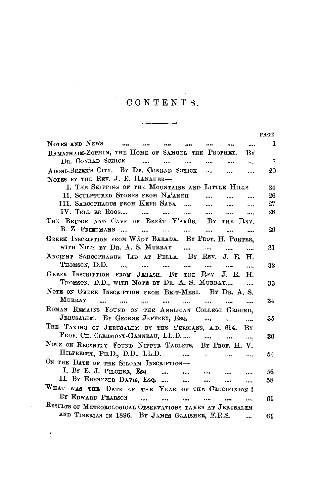## CONTENTS.

\_\_\_\_\_\_\_\_

 $\equiv$ 

l,

 $\overline{\phantom{a}}$ 

|                                                                                                                                                                     | PAGE |
|---------------------------------------------------------------------------------------------------------------------------------------------------------------------|------|
| NOTES AND NEWS<br>and the state of the state of the state of the state of the state of the state of the state of the state of the<br>$\sim$<br>$\cdots$<br>$\cdots$ | 1    |
| RAMATHAIM-ZOPHIM, THE HOME OF SAMUEL THE PROPHET.<br>By                                                                                                             |      |
| DR. CONRAD SCHICK<br>$\sim$ $\sim$<br><br><br>$\cdots$                                                                                                              | 7    |
| ADONI-BEZEK'S CITY. BY DR. CONRAD SCHICK<br>$\cdots$<br>$\cdots$<br>NOTES BY THE REV. J. E. HANAUER-                                                                | 20   |
| I. THE SKIPPING OF THE MOUNTAINS AND LITTLE HILLS                                                                                                                   | 24   |
| II. SCULPTURED STONES FROM NA'ANEH<br>$\cdots$<br>$\cdots$                                                                                                          | 96   |
| III. SARCOPHAGUS FROM KEFR SABA<br>$\ddotsc$<br>$\cdots$<br>                                                                                                        | 27   |
| IV. TELL ER ROOS<br><br>                                                                                                                                            | 28   |
| THE BRIDGE AND CAVE OF BENAT Y'AKOB. BY THE REV.                                                                                                                    |      |
| B. Z. FRIEDMANN<br><br>$\ddotsc$                                                                                                                                    | 29   |
| GREEK INSCRIPTION FROM WÂDY BARADA. BY PROF. H. PORTER,                                                                                                             |      |
| WITH NOTE BY DR. A. S. MURRAY<br>$\cdots$ $\cdots$<br>                                                                                                              | 31   |
| ANCIENT SARCOPHAGUS LID AT PELLA. BY REV. J. E. H.                                                                                                                  |      |
| Thomson, D.D.                                                                                                                                                       | 32   |
| GREEK INSCRIPTION FROM JERASH. BY THE REV. J. E.<br>$_{\rm H}$                                                                                                      |      |
| THOMSON, D.D., WITH NOTE BY DR. A. S. MURRAY<br>$\cdots$                                                                                                            | 33   |
| NOTE ON GREEK INSCRIPTION FROM BEIT-MERI. BY DR. A. S.                                                                                                              |      |
| MURRAY<br>$\overline{\phantom{a}}$<br>$\cdots$<br>$\cdots$<br>$\cdots$                                                                                              | 34   |
| $\cdots$<br>$\cdots$<br><br>$\cdots$                                                                                                                                |      |
| ROMAN REMAINS FOUND ON THE ANGLICAN COLLEGE GROUND,                                                                                                                 |      |
| JERUSALEM. BY GEORGE JEFFERY, ESQ.<br>$\cdots$                                                                                                                      | 35   |
| THE TAKING OF JERUSALEM BY THE PERSIANS, A.D. 614. BY                                                                                                               |      |
| PROF. CH. CLERMONT-GANNEAU, LL.D.<br>$\cdots$                                                                                                                       | 36   |
| NOTE ON RECENTLY FOUND NIPPUR TABLETS. BY PROF. H. V.                                                                                                               |      |
| HILPRECHT, PH.D., D.D., LL.D.<br>and the same state.<br>$\cdots$                                                                                                    | 54   |
| ON THE DATE OF THE SILOAM INSCRIPTION-                                                                                                                              |      |
| I. By E. J. PILCHER, Esq.<br>$\ddotsc$                                                                                                                              | 56   |
| IL BY EBENEZER DAVIS, ESQ.<br>$\ddot{\phantom{a}}$<br><br>                                                                                                          | 58   |
| WHAT WAS THE DATE OF THE YEAR OF THE CRUCIFIXION?                                                                                                                   |      |
| BY EDWARD PEARSON<br><br>                                                                                                                                           | 61   |
| RESULTS OF METROROLOGICAL OBSERVATIONS TAKEN AT JERUSALEM                                                                                                           |      |
| AND TIBERIAS IN 1896. BY JAMES GLAISHER, F.R.S.                                                                                                                     | 61   |